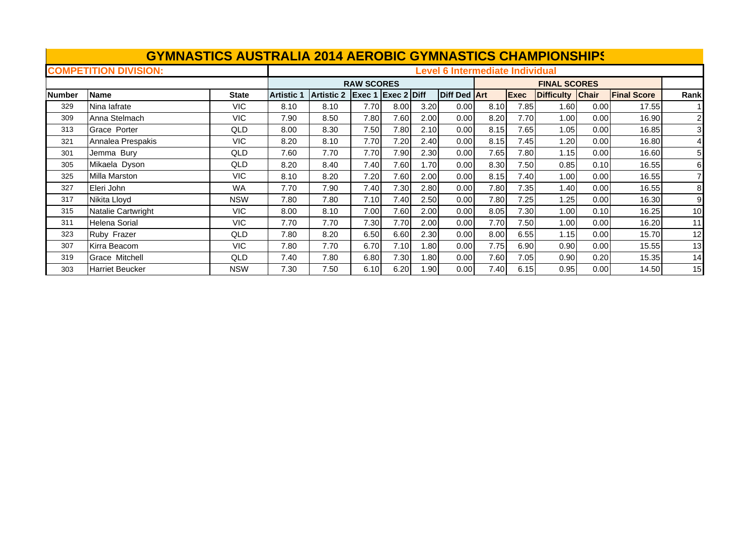|               | <b>GYMNASTICS AUSTRALIA 2014 AEROBIC GYMNASTICS CHAMPIONSHIPS</b> |              |                   |            |                      |      |      |                                        |      |             |                     |              |                    |              |
|---------------|-------------------------------------------------------------------|--------------|-------------------|------------|----------------------|------|------|----------------------------------------|------|-------------|---------------------|--------------|--------------------|--------------|
|               | <b>COMPETITION DIVISION:</b>                                      |              |                   |            |                      |      |      | <b>Level 6 Intermediate Individual</b> |      |             |                     |              |                    |              |
|               |                                                                   |              |                   |            | <b>RAW SCORES</b>    |      |      |                                        |      |             | <b>FINAL SCORES</b> |              |                    |              |
| <b>Number</b> | <b>Name</b>                                                       | <b>State</b> | <b>Artistic 1</b> | Artistic 2 | $Exec 1$ Exec 2 Diff |      |      | <b>Diff Ded Art</b>                    |      | <b>Exec</b> | <b>Difficulty</b>   | <b>Chair</b> | <b>Final Score</b> | Rank         |
| 329           | Nina lafrate                                                      | <b>VIC</b>   | 8.10              | 8.10       | 7.70                 | 8.00 | 3.20 | 0.00                                   | 8.10 | 7.85        | 1.60                | 0.00         | 17.55              |              |
| 309           | Anna Stelmach                                                     | <b>VIC</b>   | 7.90              | 8.50       | 7.80                 | 7.60 | 2.00 | 0.00                                   | 8.20 | 7.70        | 1.00                | 0.00         | 16.90              | $\mathbf{2}$ |
| 313           | Grace Porter                                                      | QLD          | 8.00              | 8.30       | 7.50                 | 7.80 | 2.10 | 0.00                                   | 8.15 | 7.65        | 1.05                | 0.00         | 16.85              | 3            |
| 321           | Annalea Prespakis                                                 | <b>VIC</b>   | 8.20              | 8.10       | 7.70                 | 7.20 | 2.40 | 0.00                                   | 8.15 | 7.45        | 1.20                | 0.00         | 16.80              | 41           |
| 301           | Jemma Bury                                                        | QLD          | 7.60              | 7.70       | 7.70                 | 7.90 | 2.30 | 0.00                                   | 7.65 | 7.80        | 1.15                | 0.00         | 16.60              | 51           |
| 305           | Mikaela Dyson                                                     | QLD          | 8.20              | 8.40       | 7.40                 | 7.60 | 1.70 | 0.00                                   | 8.30 | 7.50        | 0.85                | 0.10         | 16.55              | 61           |
| 325           | Milla Marston                                                     | <b>VIC</b>   | 8.10              | 8.20       | 7.20                 | 7.60 | 2.00 | 0.00                                   | 8.15 | 7.40        | 1.00                | 0.00         | 16.55              |              |
| 327           | Eleri John                                                        | <b>WA</b>    | 7.70              | 7.90       | 7.40                 | 7.30 | 2.80 | 0.00                                   | 7.80 | 7.35        | 1.40                | 0.00         | 16.55              | 8            |
| 317           | Nikita Lloyd                                                      | <b>NSW</b>   | 7.80              | 7.80       | 7.10                 | 7.40 | 2.50 | 0.00                                   | 7.80 | 7.25        | 1.25                | 0.00         | 16.30              | 9            |
| 315           | Natalie Cartwright                                                | <b>VIC</b>   | 8.00              | 8.10       | 7.00                 | 7.60 | 2.00 | 0.00                                   | 8.05 | 7.30        | 1.00                | 0.10         | 16.25              | 10           |
| 311           | Helena Sorial                                                     | <b>VIC</b>   | 7.70              | 7.70       | 7.30                 | 7.70 | 2.00 | 0.00                                   | 7.70 | 7.50        | 1.00                | 0.00         | 16.20              | 11           |
| 323           | Ruby Frazer                                                       | QLD          | 7.80              | 8.20       | 6.50                 | 6.60 | 2.30 | 0.00                                   | 8.00 | 6.55        | 1.15                | 0.00         | 15.70              | 12           |
| 307           | Kirra Beacom                                                      | <b>VIC</b>   | 7.80              | 7.70       | 6.70                 | 7.10 | 1.80 | 0.00                                   | 7.75 | 6.90        | 0.90                | 0.00         | 15.55              | 13           |
| 319           | Grace Mitchell                                                    | QLD          | 7.40              | 7.80       | 6.80                 | 7.30 | 1.80 | 0.00                                   | 7.60 | 7.05        | 0.90                | 0.20         | 15.35              | 14           |
| 303           | <b>Harriet Beucker</b>                                            | <b>NSW</b>   | 7.30              | 7.50       | 6.10                 | 6.20 | 1.90 | 0.00                                   | 7.40 | 6.15        | 0.95                | 0.00         | 14.50              | 15           |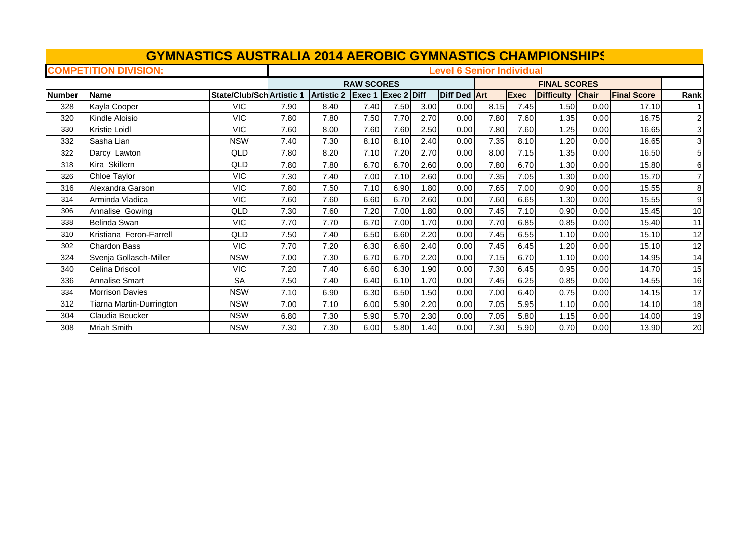|               | <b>GYMNASTICS AUSTRALIA 2014 AEROBIC GYMNASTICS CHAMPIONSHIPS</b> |                                  |      |                   |                    |      |      |                                  |      |             |                     |       |                    |                         |
|---------------|-------------------------------------------------------------------|----------------------------------|------|-------------------|--------------------|------|------|----------------------------------|------|-------------|---------------------|-------|--------------------|-------------------------|
|               | <b>COMPETITION DIVISION:</b>                                      |                                  |      |                   |                    |      |      | <b>Level 6 Senior Individual</b> |      |             |                     |       |                    |                         |
|               |                                                                   |                                  |      |                   | <b>RAW SCORES</b>  |      |      |                                  |      |             | <b>FINAL SCORES</b> |       |                    |                         |
| <b>Number</b> | <b>Name</b>                                                       | <b>State/Club/Sch Artistic 1</b> |      | <b>Artistic 2</b> | Exec 1 Exec 2 Diff |      |      | Diff Ded Art                     |      | <b>Exec</b> | <b>Difficulty</b>   | Chair | <b>Final Score</b> | Rank                    |
| 328           | Kayla Cooper                                                      | <b>VIC</b>                       | 7.90 | 8.40              | 7.40               | 7.50 | 3.00 | 0.00                             | 8.15 | 7.45        | 1.50                | 0.00  | 17.10              |                         |
| 320           | Kindle Aloisio                                                    | <b>VIC</b>                       | 7.80 | 7.80              | 7.50               | 7.70 | 2.70 | 0.00                             | 7.80 | 7.60        | 1.35                | 0.00  | 16.75              | $\mathbf{2}$            |
| 330           | <b>Kristie Loidl</b>                                              | <b>VIC</b>                       | 7.60 | 8.00              | 7.60               | 7.60 | 2.50 | 0.00                             | 7.80 | 7.60        | 1.25                | 0.00  | 16.65              | $\overline{\mathbf{3}}$ |
| 332           | Sasha Lian                                                        | <b>NSW</b>                       | 7.40 | 7.30              | 8.10               | 8.10 | 2.40 | 0.00                             | 7.35 | 8.10        | 1.20                | 0.00  | 16.65              | 3                       |
| 322           | Darcy Lawton                                                      | QLD                              | 7.80 | 8.20              | 7.10               | 7.20 | 2.70 | 0.00                             | 8.00 | 7.15        | 1.35                | 0.00  | 16.50              | 5 <sub>l</sub>          |
| 318           | Kira Skillern                                                     | <b>QLD</b>                       | 7.80 | 7.80              | 6.70               | 6.70 | 2.60 | 0.00                             | 7.80 | 6.70        | 1.30                | 0.00  | 15.80              | 6                       |
| 326           | Chloe Taylor                                                      | <b>VIC</b>                       | 7.30 | 7.40              | 7.00               | 7.10 | 2.60 | 0.00                             | 7.35 | 7.05        | 1.30                | 0.00  | 15.70              | $\mathbf{z}$            |
| 316           | Alexandra Garson                                                  | <b>VIC</b>                       | 7.80 | 7.50              | 7.10               | 6.90 | 1.80 | 0.00                             | 7.65 | 7.00        | 0.90                | 0.00  | 15.55              | 8                       |
| 314           | Arminda Vladica                                                   | <b>VIC</b>                       | 7.60 | 7.60              | 6.60               | 6.70 | 2.60 | 0.00                             | 7.60 | 6.65        | 1.30                | 0.00  | 15.55              | 9                       |
| 306           | Annalise Gowing                                                   | QLD                              | 7.30 | 7.60              | 7.20               | 7.00 | 1.80 | 0.00                             | 7.45 | 7.10        | 0.90                | 0.00  | 15.45              | 10                      |
| 338           | Belinda Swan                                                      | <b>VIC</b>                       | 7.70 | 7.70              | 6.70               | 7.00 | 1.70 | 0.00                             | 7.70 | 6.85        | 0.85                | 0.00  | 15.40              | 11                      |
| 310           | Kristiana Feron-Farrell                                           | QLD                              | 7.50 | 7.40              | 6.50               | 6.60 | 2.20 | 0.00                             | 7.45 | 6.55        | 1.10                | 0.00  | 15.10              | 12                      |
| 302           | <b>Chardon Bass</b>                                               | <b>VIC</b>                       | 7.70 | 7.20              | 6.30               | 6.60 | 2.40 | 0.00                             | 7.45 | 6.45        | 1.20                | 0.00  | 15.10              | 12                      |
| 324           | Svenja Gollasch-Miller                                            | <b>NSW</b>                       | 7.00 | 7.30              | 6.70               | 6.70 | 2.20 | 0.00                             | 7.15 | 6.70        | 1.10                | 0.00  | 14.95              | 14                      |
| 340           | Celina Driscoll                                                   | <b>VIC</b>                       | 7.20 | 7.40              | 6.60               | 6.30 | 1.90 | 0.00                             | 7.30 | 6.45        | 0.95                | 0.00  | 14.70              | 15                      |
| 336           | <b>Annalise Smart</b>                                             | <b>SA</b>                        | 7.50 | 7.40              | 6.40               | 6.10 | 1.70 | 0.00                             | 7.45 | 6.25        | 0.85                | 0.00  | 14.55              | 16                      |
| 334           | <b>Morrison Davies</b>                                            | <b>NSW</b>                       | 7.10 | 6.90              | 6.30               | 6.50 | 1.50 | 0.00                             | 7.00 | 6.40        | 0.75                | 0.00  | 14.15              | 17                      |
| 312           | Tiarna Martin-Durrington                                          | <b>NSW</b>                       | 7.00 | 7.10              | 6.00               | 5.90 | 2.20 | 0.00                             | 7.05 | 5.95        | 1.10                | 0.00  | 14.10              | 18                      |
| 304           | Claudia Beucker                                                   | <b>NSW</b>                       | 6.80 | 7.30              | 5.90               | 5.70 | 2.30 | 0.00                             | 7.05 | 5.80        | 1.15                | 0.00  | 14.00              | 19                      |
| 308           | <b>Mriah Smith</b>                                                | <b>NSW</b>                       | 7.30 | 7.30              | 6.00               | 5.80 | 1.40 | 0.00                             | 7.30 | 5.90        | 0.70                | 0.00  | 13.90              | 20                      |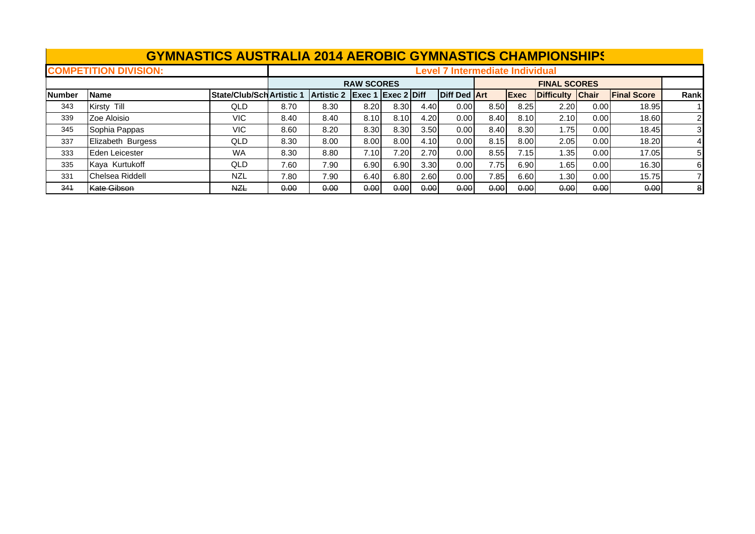|               | <b>GYMNASTICS AUSTRALIA 2014 AEROBIC GYMNASTICS CHAMPIONSHIPS</b> |                                  |      |                   |                           |      |                   |                                        |      |              |                     |       |                    |      |
|---------------|-------------------------------------------------------------------|----------------------------------|------|-------------------|---------------------------|------|-------------------|----------------------------------------|------|--------------|---------------------|-------|--------------------|------|
|               | <b>COMPETITION DIVISION:</b>                                      |                                  |      |                   |                           |      |                   | <b>Level 7 Intermediate Individual</b> |      |              |                     |       |                    |      |
|               |                                                                   |                                  |      |                   | <b>RAW SCORES</b>         |      |                   |                                        |      |              | <b>FINAL SCORES</b> |       |                    |      |
| <b>Number</b> | <b>Name</b>                                                       | <b>State/Club/Sch Artistic 1</b> |      | <b>Artistic 2</b> | <b>Exec 1 Exec 2 Diff</b> |      |                   | Diff Ded Art                           |      | <b>IExec</b> | Difficulty Chair    |       | <b>Final Score</b> | Rank |
| 343           | Kirsty Till                                                       | QLD                              | 8.70 | 8.30              | 8.20                      | 8.30 | 4.40              | 0.00                                   | 8.50 | 8.25         | 2.20                | 0.001 | 18.95              |      |
| 339           | Zoe Aloisio                                                       | VIC.                             | 8.40 | 8.40              | 8.10                      | 8.10 | 4.20              | 0.00                                   | 8.40 | 8.10         | 2.10                | 0.00  | 18.60              |      |
| 345           | Sophia Pappas                                                     | VIC.                             | 8.60 | 8.20              | 8.30                      | 8.30 | 3.50              | 0.00                                   | 8.40 | 8.30         | 1.75                | 0.00  | 18.45              | 3    |
| 337           | Elizabeth Burgess                                                 | QLD                              | 8.30 | 8.00              | 8.00                      | 8.00 | 4.10              | 0.00                                   | 8.15 | 8.00         | 2.05                | 0.00  | 18.20              |      |
| 333           | Eden Leicester                                                    | <b>WA</b>                        | 8.30 | 8.80              | 7.10I                     | 7.20 | 2.70              | 0.00                                   | 8.55 | 7.15         | 1.35 l              | 0.00  | 17.05              | 5    |
| 335           | Kaya Kurtukoff                                                    | QLD                              | 7.60 | 7.90              | 6.90                      | 6.90 | 3.30 <sub>l</sub> | 0.00                                   | 7.75 | 6.90         | 1.65I               | 0.00  | 16.30              | 61   |
| 331           | Chelsea Riddell                                                   | <b>NZL</b>                       | 7.80 | 7.90              | 6.40                      | 6.80 | 2.60              | 0.00                                   | 7.85 | 6.60         | 1.301               | 0.00  | 15.75              |      |
| 341           | Kate Gibson                                                       | <b>NZL</b>                       | 0.00 | 0.00              | 0.00                      | 0.00 | 0.00              | 0.00                                   | 0.00 | 0.00         | 0.00                | 0.00  | 0.00               | 8    |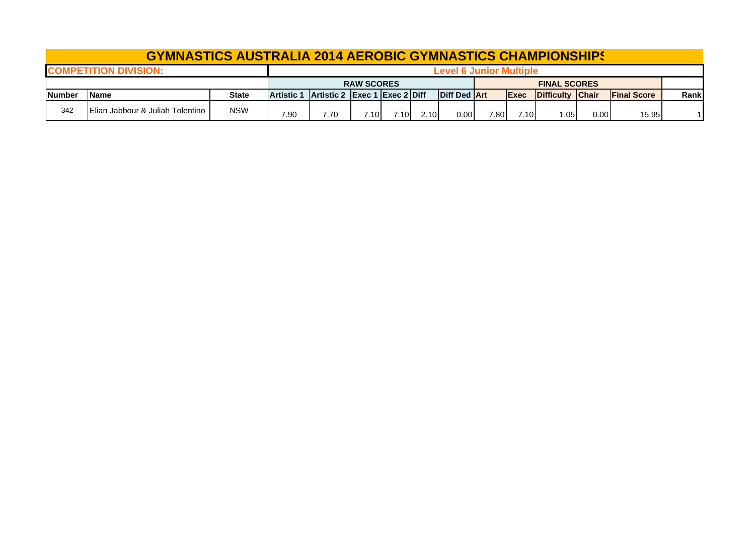|                | <b>GYMNASTICS AUSTRALIA 2014 AEROBIC GYMNASTICS CHAMPIONSHIPS</b> |            |                   |                               |                   |       |      |                         |       |              |                          |      |                     |      |
|----------------|-------------------------------------------------------------------|------------|-------------------|-------------------------------|-------------------|-------|------|-------------------------|-------|--------------|--------------------------|------|---------------------|------|
|                | <b>COMPETITION DIVISION:</b>                                      |            |                   |                               |                   |       |      | Level 6 Junior Multiple |       |              |                          |      |                     |      |
|                |                                                                   |            |                   |                               | <b>RAW SCORES</b> |       |      |                         |       |              | <b>FINAL SCORES</b>      |      |                     |      |
| <b>INumber</b> | lName                                                             | State      | <b>Artistic 1</b> | Artistic 2 Exec 1 Exec 2 Diff |                   |       |      | Diff Ded Art            |       | <b>IExec</b> | <b>IDifficulty Chair</b> |      | <b>IFinal Score</b> | Rank |
| 342            | Elian Jabbour & Juliah Tolentino                                  | <b>NSW</b> | 7.90              | 7.70                          | 7.10I             | 7.10I | 2.10 | 0.001                   | 7.801 | 7.10I        | .05                      | 0.00 | 15.95               |      |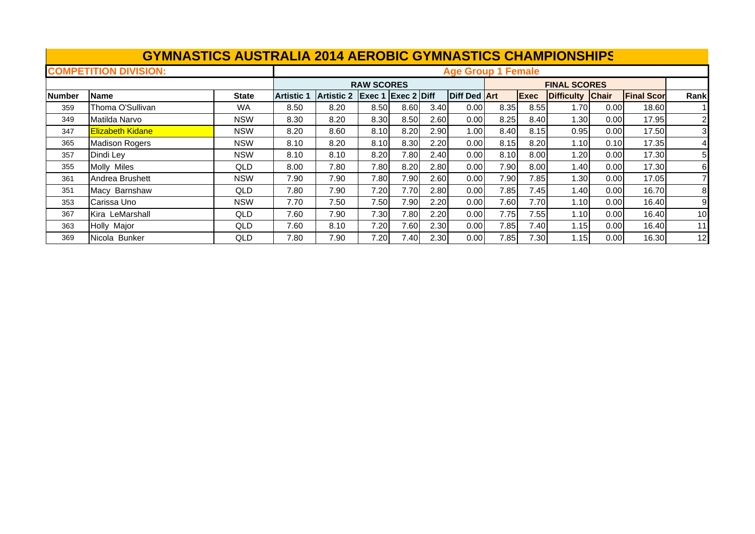|               | <b>GYMNASTICS AUSTRALIA 2014 AEROBIC GYMNASTICS CHAMPIONSHIPS</b> |              |                   |                   |                   |                    |      |                           |      |      |                     |              |                   |                |
|---------------|-------------------------------------------------------------------|--------------|-------------------|-------------------|-------------------|--------------------|------|---------------------------|------|------|---------------------|--------------|-------------------|----------------|
|               | <b>COMPETITION DIVISION:</b>                                      |              |                   |                   |                   |                    |      | <b>Age Group 1 Female</b> |      |      |                     |              |                   |                |
|               |                                                                   |              |                   |                   | <b>RAW SCORES</b> |                    |      |                           |      |      | <b>FINAL SCORES</b> |              |                   |                |
| <b>Number</b> | <b>Name</b>                                                       | <b>State</b> | <b>Artistic 1</b> | <b>Artistic 2</b> |                   | Exec 1 Exec 2 Diff |      | <b>Diff Ded Art</b>       |      | Exec | <b>Difficulty</b>   | <b>Chair</b> | <b>Final Scor</b> | Rank           |
| 359           | Thoma O'Sullivan                                                  | WA           | 8.50              | 8.20              | 8.50              | 8.60               | 3.40 | 0.00                      | 8.35 | 8.55 | 1.70                | 0.00         | 18.60             |                |
| 349           | Matilda Narvo                                                     | <b>NSW</b>   | 8.30              | 8.20              | 8.30              | 8.50               | 2.60 | 0.00                      | 8.25 | 8.40 | 1.30                | 0.00         | 17.95             | $\mathbf{2}$   |
| 347           | <b>Elizabeth Kidane</b>                                           | <b>NSW</b>   | 8.20              | 8.60              | 8.10              | 8.20               | 2.90 | $1.00 \,$                 | 8.40 | 8.15 | 0.95                | 0.00         | 17.50             | 3 <sup>l</sup> |
| 365           | <b>Madison Rogers</b>                                             | <b>NSW</b>   | 8.10              | 8.20              | 8.10              | 8.30               | 2.20 | 0.00                      | 8.15 | 8.20 | 1.10                | 0.10         | 17.35             |                |
| 357           | Dindi Ley                                                         | <b>NSW</b>   | 8.10              | 8.10              | 8.20              | 7.80               | 2.40 | 0.00                      | 8.10 | 8.00 | 1.20                | 0.00         | 17.30             | 51             |
| 355           | <b>Molly Miles</b>                                                | QLD          | 8.00              | 7.80              | 7.80              | 8.20               | 2.80 | 0.00                      | 7.90 | 8.00 | 1.40                | 0.00         | 17.30             | 61             |
| 361           | Andrea Brushett                                                   | <b>NSW</b>   | 7.90              | 7.90              | 7.80              | 7.90               | 2.60 | 0.00                      | 7.90 | 7.85 | 1.30                | 0.00         | 17.05             |                |
| 351           | Macy Barnshaw                                                     | QLD          | 7.80              | 7.90              | 7.20              | 7.70               | 2.80 | 0.00                      | 7.85 | 7.45 | 1.40                | 0.00         | 16.70             | 81             |
| 353           | Carissa Uno                                                       | <b>NSW</b>   | 7.70              | 7.50              | 7.50              | 7.90               | 2.20 | 0.00                      | 7.60 | 7.70 | 1.10                | 0.00         | 16.40             | 9              |
| 367           | Kira LeMarshall                                                   | QLD          | 7.60              | 7.90              | 7.30              | 7.80               | 2.20 | 0.00                      | 7.75 | 7.55 | 1.10                | 0.00         | 16.40             | 10             |
| 363           | Holly Major                                                       | QLD          | 7.60              | 8.10              | 7.20              | 7.60               | 2.30 | 0.00                      | 7.85 | 7.40 | 1.15                | 0.00         | 16.40             | 11             |
| 369           | Nicola Bunker                                                     | QLD          | 7.80              | 7.90              | 7.20              | 7.40I              | 2.30 | 0.00                      | 7.85 | 7.30 | 1.15                | 0.00         | 16.30             | 12             |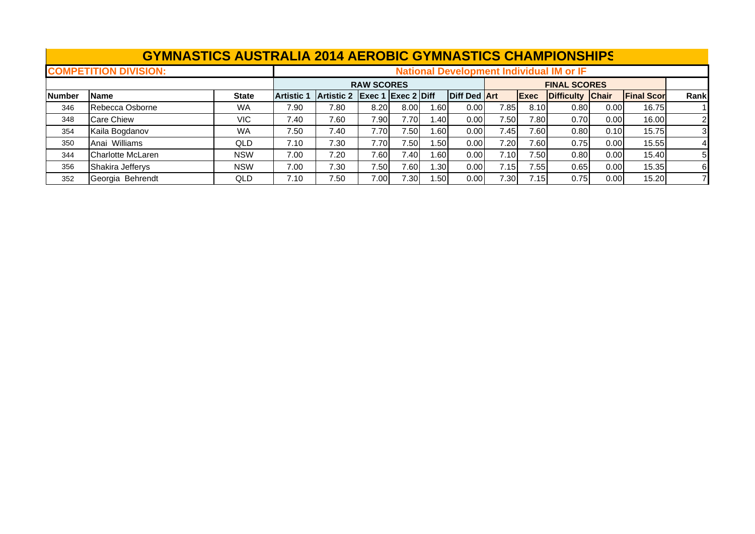|               | <b>GYMNASTICS AUSTRALIA 2014 AEROBIC GYMNASTICS CHAMPIONSHIPS</b> |              |                   |            |                   |                           |                  |                     |       |             |                                                 |      |                   |                |
|---------------|-------------------------------------------------------------------|--------------|-------------------|------------|-------------------|---------------------------|------------------|---------------------|-------|-------------|-------------------------------------------------|------|-------------------|----------------|
|               | <b>COMPETITION DIVISION:</b>                                      |              |                   |            |                   |                           |                  |                     |       |             | <b>National Development Individual IM or IF</b> |      |                   |                |
|               |                                                                   |              |                   |            | <b>RAW SCORES</b> |                           |                  |                     |       |             | <b>FINAL SCORES</b>                             |      |                   |                |
| <b>Number</b> | Name                                                              | <b>State</b> | <b>Artistic 1</b> | Artistic 2 |                   | <b>Exec 1 Exec 2 Diff</b> |                  | <b>Diff Ded Art</b> |       | <b>Exec</b> | Difficulty Chair                                |      | <b>Final Scor</b> | Rankl          |
| 346           | Rebecca Osborne                                                   | <b>WA</b>    | 7.90              | 7.80       | 8.20              | 8.00                      | 1.601            | 0.00                | 7.85  | 8.10        | 0.80                                            | 0.00 | 16.75             |                |
| 348           | <b>Care Chiew</b>                                                 | VIC.         | 7.40              | 7.60       | 7.90              | 7.70                      | .40              | 0.00 <sub>l</sub>   | 7.50  | 7.80        | 0.70                                            | 0.00 | 16.00             | $\overline{2}$ |
| 354           | Kaila Bogdanov                                                    | <b>WA</b>    | 7.50              | 7.40       | 7.70I             | 7.50                      | .60              | 0.00                | 7.45  | 7.60        | 0.80                                            | 0.10 | 15.75             | 31             |
| 350           | Anai Williams                                                     | QLD          | 7.10              | 7.30       | 7.70              | 7.50                      | l .50 l          | 0.00                | 7.20  | 7.60        | 0.75                                            | 0.00 | 15.55             |                |
| 344           | Charlotte McLaren                                                 | <b>NSW</b>   | 7.00              | 7.20       | 7.60              | 7.40                      | 60. ا            | 0.001               | 7.10I | 7.50        | 0.80                                            | 0.00 | 15.40             | 51             |
| 356           | Shakira Jefferys                                                  | <b>NSW</b>   | 7.00              | 7.30       | 7.50              | 7.60                      | .30 <sub>1</sub> | 0.00                | 7.15  | 7.55        | 0.65                                            | 0.00 | 15.35             | 61             |
| 352           | Georgia Behrendt                                                  | QLD          | 7.10              | 7.50       | 7.00              | 7.30                      | .50 <sub>1</sub> | 0.00                | 7.30  | 7.15        | 0.75                                            | 0.00 | 15.20             |                |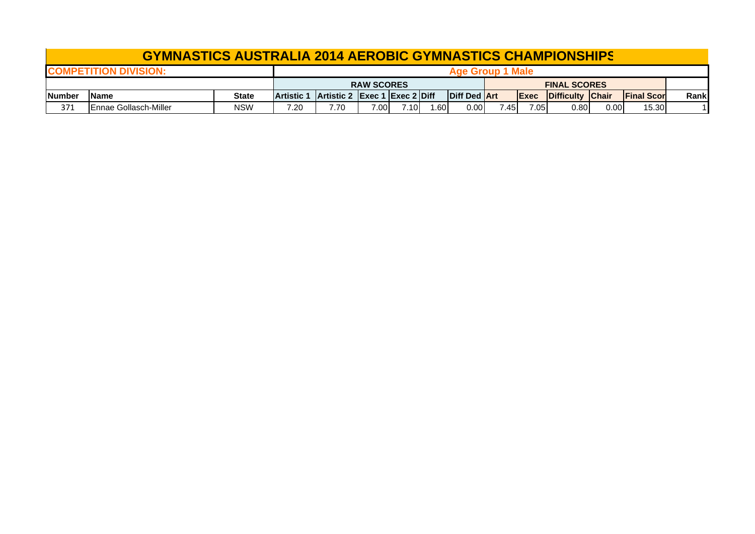|               | <b>GYMNASTICS AUSTRALIA 2014 AEROBIC GYMNASTICS CHAMPIONSHIPS</b> |            |                   |                                      |                   |      |     |                     |       |              |                     |      |                     |       |
|---------------|-------------------------------------------------------------------|------------|-------------------|--------------------------------------|-------------------|------|-----|---------------------|-------|--------------|---------------------|------|---------------------|-------|
|               | <b>Age Group 1 Male</b><br><b>COMPETITION DIVISION:</b>           |            |                   |                                      |                   |      |     |                     |       |              |                     |      |                     |       |
|               |                                                                   |            |                   |                                      | <b>RAW SCORES</b> |      |     |                     |       |              | <b>FINAL SCORES</b> |      |                     |       |
| <b>Number</b> | <b>IName</b>                                                      | State      | <b>Artistic 1</b> | <b>Artistic 2 Exec 1 Exec 2 Diff</b> |                   |      |     | <b>Diff Ded Art</b> |       | <b>IExec</b> | Difficulty Chair    |      | <b>IFinal Score</b> | Rankl |
| 371           | IEnnae Gollasch-Miller                                            | <b>NSW</b> | 7.20              | 7.70                                 | 7.00              | 7.10 | .60 | 0.00                | 7.451 | 7.05         | $0.80\,$            | 0.00 | 15.30               |       |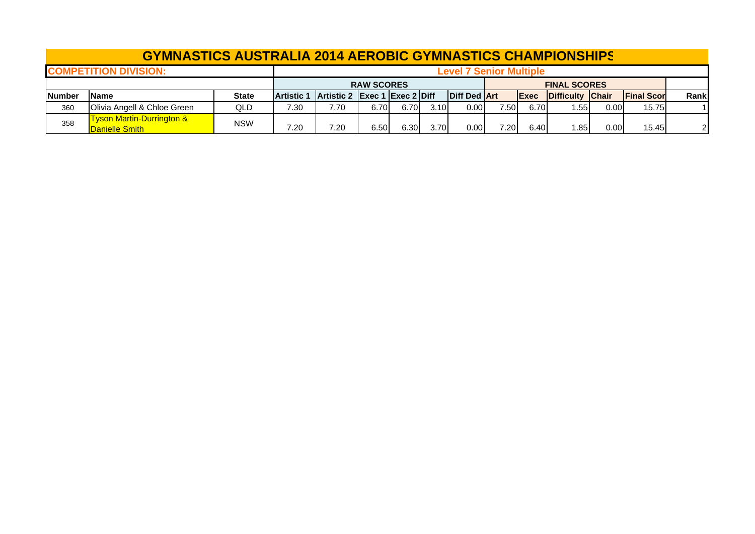|               | <b>GYMNASTICS AUSTRALIA 2014 AEROBIC GYMNASTICS CHAMPIONSHIPS</b> |            |                   |                               |                   |       |      |                                |      |             |                     |                   |                   |                |
|---------------|-------------------------------------------------------------------|------------|-------------------|-------------------------------|-------------------|-------|------|--------------------------------|------|-------------|---------------------|-------------------|-------------------|----------------|
|               | <b>COMPETITION DIVISION:</b>                                      |            |                   |                               |                   |       |      | <b>Level 7 Senior Multiple</b> |      |             |                     |                   |                   |                |
|               |                                                                   |            |                   |                               | <b>RAW SCORES</b> |       |      |                                |      |             | <b>FINAL SCORES</b> |                   |                   |                |
| <b>Number</b> | <b>IName</b>                                                      | State      | <b>Artistic 1</b> | Artistic 2 Exec 1 Exec 2 Diff |                   |       |      | <b>Diff Ded Art</b>            |      | <b>Exec</b> | Difficulty Chair    |                   | <b>Final Scor</b> | Rankl          |
| 360           | Olivia Angell & Chloe Green                                       | QLD        | 7.30              | 7.70                          | 6.70              | 6.70  | 3.10 | 0.00                           | 7.50 | 6.70        | .55                 | $0.00 \mathsf{I}$ | 15.75             |                |
| 358           | <u>Tyson Martin-Durrington &amp; </u><br>Danielle Smith           | <b>NSW</b> | 7.20              | 7.20                          | 6.50              | 6.30I | 3.70 | 0.00                           | 7.20 | 6.40        | .85                 | 0.00              | 15.45             | $\overline{2}$ |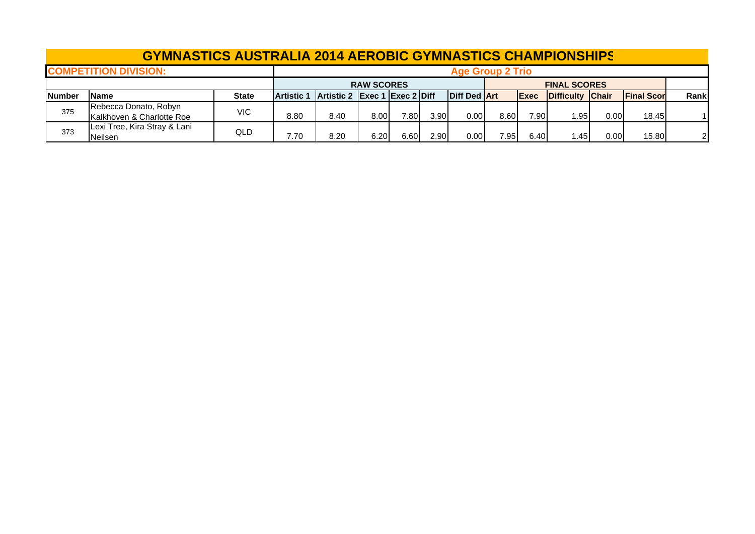|               | <b>GYMNASTICS AUSTRALIA 2014 AEROBIC GYMNASTICS CHAMPIONSHIPS</b> |              |                   |                   |                    |       |                   |                         |      |              |                     |      |                   |                |
|---------------|-------------------------------------------------------------------|--------------|-------------------|-------------------|--------------------|-------|-------------------|-------------------------|------|--------------|---------------------|------|-------------------|----------------|
|               | <b>COMPETITION DIVISION:</b>                                      |              |                   |                   |                    |       |                   | <b>Age Group 2 Trio</b> |      |              |                     |      |                   |                |
|               |                                                                   |              |                   |                   | <b>RAW SCORES</b>  |       |                   |                         |      |              | <b>FINAL SCORES</b> |      |                   |                |
| <b>Number</b> | <b>Name</b>                                                       | <b>State</b> | <b>Artistic 1</b> | <b>Artistic 2</b> | Exec 1 Exec 2 Diff |       |                   | <b>Diff Ded Art</b>     |      | <b>IExec</b> | Difficulty Chair    |      | <b>Final Scor</b> | Rankl          |
| 375           | Rebecca Donato, Robyn<br>Kalkhoven & Charlotte Roe                | <b>VIC</b>   | 8.80              | 8.40              | 8.00               | 7.801 | 3.90              | 0.00                    | 8.60 | 7.90         | l.95l               | 0.00 | 18.45             |                |
| 373           | Lexi Tree, Kira Stray & Lani<br><b>Neilsen</b>                    | QLD          | 7.70              | 8.20              | 6.20               | 6.60  | 2.90 <sub>1</sub> | 0.00                    | 7.95 | 6.40         | .45                 | 0.00 | 15.80             | $\overline{2}$ |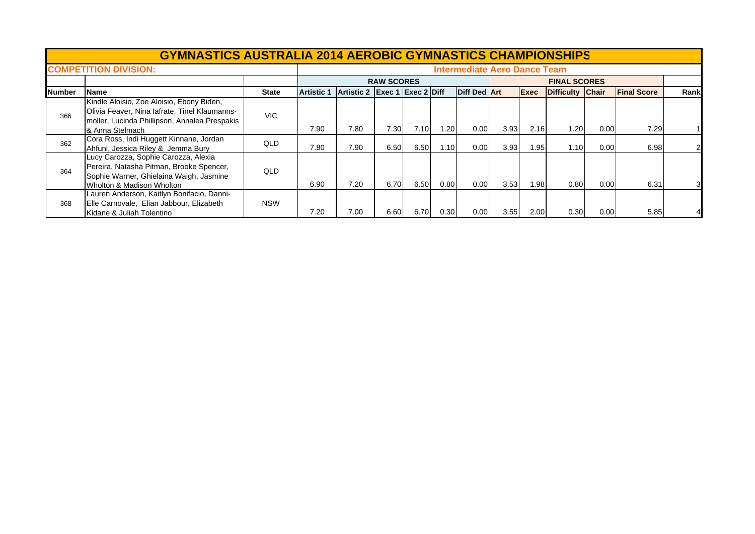|               | <b>GYMNASTICS AUSTRALIA 2014 AEROBIC GYMNASTICS CHAMPIONSHIPS</b>                                                                                              |              |            |                               |                   |      |      |                                     |      |             |                     |      |                    |      |
|---------------|----------------------------------------------------------------------------------------------------------------------------------------------------------------|--------------|------------|-------------------------------|-------------------|------|------|-------------------------------------|------|-------------|---------------------|------|--------------------|------|
|               | <b>COMPETITION DIVISION:</b>                                                                                                                                   |              |            |                               |                   |      |      | <b>Intermediate Aero Dance Team</b> |      |             |                     |      |                    |      |
|               |                                                                                                                                                                |              |            |                               | <b>RAW SCORES</b> |      |      |                                     |      |             | <b>FINAL SCORES</b> |      |                    |      |
| <b>Number</b> | Name                                                                                                                                                           | <b>State</b> | ∣Artistic⊹ | Artistic 2 Exec 1 Exec 2 Diff |                   |      |      | Diff Ded Art                        |      | <b>Exec</b> | Difficulty Chair    |      | <b>Final Score</b> | Rank |
| 366           | Kindle Aloisio, Zoe Aloisio, Ebony Biden,<br>Olivia Feaver, Nina lafrate, Tinel Klaumanns-<br>moller, Lucinda Phillipson, Annalea Prespakis<br>& Anna Stelmach | VIC.         | 7.90       | 7.80                          | 7.30              | 7.10 | 1.20 | 0.00                                | 3.93 | 2.16        | 1.20                | 0.00 | 7.29               |      |
| 362           | Cora Ross, Indi Huggett Kinnane, Jordan<br>Ahfuni, Jessica Riley & Jemma Bury                                                                                  | <b>QLD</b>   | 7.80       | 7.90                          | 6.50              | 6.50 | 1.10 | 0.00                                | 3.93 | 1.95        | 1.10                | 0.00 | 6.98               |      |
| 364           | Lucy Carozza, Sophie Carozza, Alexia<br>Pereira, Natasha Pitman, Brooke Spencer,<br>Sophie Warner, Ghielaina Waigh, Jasmine<br>Wholton & Madison Wholton       | <b>QLD</b>   | 6.90       | 7.20                          | 6.70              | 6.50 | 0.80 | 0.00                                | 3.53 | 1.98        | 0.80                | 0.00 | 6.31               | ЗΙ   |
| 368           | Lauren Anderson, Kaitlyn Bonifacio, Danni-<br>Elle Carnovale, Elian Jabbour, Elizabeth<br>Kidane & Juliah Tolentino                                            | <b>NSW</b>   | 7.20       | 7.00                          | 6.60              | 6.70 | 0.30 | 0.00                                | 3.55 | 2.00        | 0.30                | 0.00 | 5.85               |      |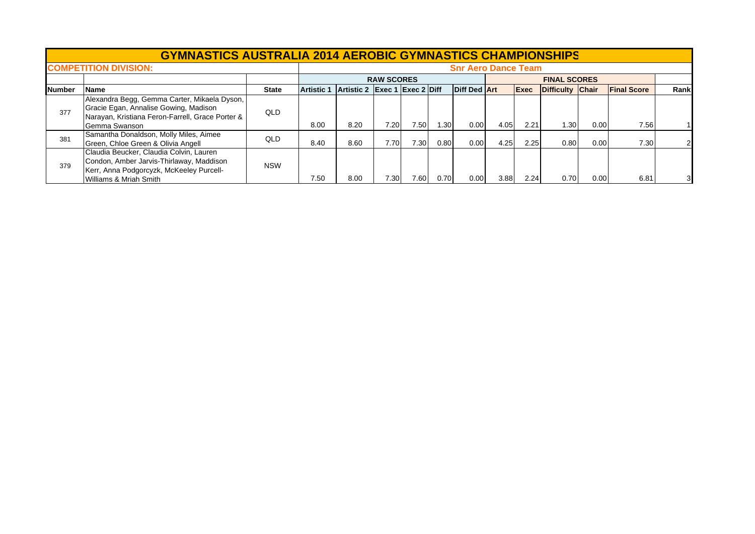|               | <b>GYMNASTICS AUSTRALIA 2014 AEROBIC GYMNASTICS CHAMPIONSHIPS</b>                                                                                          |              |                   |                               |                   |      |        |                            |      |             |                     |      |                    |      |
|---------------|------------------------------------------------------------------------------------------------------------------------------------------------------------|--------------|-------------------|-------------------------------|-------------------|------|--------|----------------------------|------|-------------|---------------------|------|--------------------|------|
|               | <b>COMPETITION DIVISION:</b>                                                                                                                               |              |                   |                               |                   |      |        | <b>Snr Aero Dance Team</b> |      |             |                     |      |                    |      |
|               |                                                                                                                                                            |              |                   |                               | <b>RAW SCORES</b> |      |        |                            |      |             | <b>FINAL SCORES</b> |      |                    |      |
| <b>Number</b> | Name                                                                                                                                                       | <b>State</b> | <b>Artistic 1</b> | Artistic 2 Exec 1 Exec 2 Diff |                   |      |        | <b>Diff Ded Art</b>        |      | <b>Exec</b> | Difficulty Chair    |      | <b>Final Score</b> | Rank |
| 377           | Alexandra Begg, Gemma Carter, Mikaela Dyson,<br>Gracie Egan, Annalise Gowing, Madison<br>Narayan, Kristiana Feron-Farrell, Grace Porter &<br>Gemma Swanson | QLD          | 8.00              | 8.20                          | 7.20              | 7.50 | . 30 l | 0.00                       | 4.05 | 2.21        | 1.30                | 0.00 | 7.56               |      |
| 381           | Samantha Donaldson, Molly Miles, Aimee<br>Green, Chloe Green & Olivia Angell                                                                               | <b>QLD</b>   | 8.40              | 8.60                          | 7.70              | 7.30 | 0.80   | 0.00                       | 4.25 | 2.25        | 0.80                | 0.00 | 7.30               |      |
| 379           | Claudia Beucker, Claudia Colvin, Lauren<br>Condon, Amber Jarvis-Thirlaway, Maddison<br>Kerr, Anna Podgorcyzk, McKeeley Purcell-<br>Williams & Mriah Smith  | <b>NSW</b>   | 7.50              | 8.00                          | 7.30 <sub>1</sub> | 7.60 | 0.70   | 0.00                       | 3.88 | 2.24        | 0.70                | 0.00 | 6.81               | 3    |